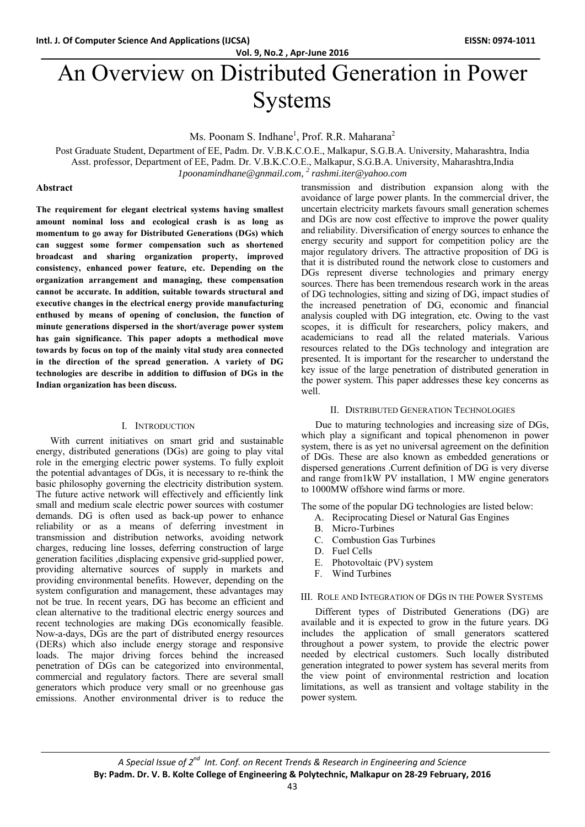**Vol. 9, No.2 , Apr‐June 2016**

# An Overview on Distributed Generation in Power Systems

Ms. Poonam S. Indhane<sup>1</sup>, Prof. R.R. Maharana<sup>2</sup>

Post Graduate Student, Department of EE, Padm. Dr. V.B.K.C.O.E., Malkapur, S.G.B.A. University, Maharashtra, India

Asst. professor, Department of EE, Padm. Dr. V.B.K.C.O.E., Malkapur, S.G.B.A. University, Maharashtra,India

*1poonamindhane@gnmail.com, <sup>2</sup> rashmi.iter@yahoo.com*

#### **Abstract**

**The requirement for elegant electrical systems having smallest amount nominal loss and ecological crash is as long as momentum to go away for Distributed Generations (DGs) which can suggest some former compensation such as shortened broadcast and sharing organization property, improved consistency, enhanced power feature, etc. Depending on the organization arrangement and managing, these compensation cannot be accurate. In addition, suitable towards structural and executive changes in the electrical energy provide manufacturing enthused by means of opening of conclusion, the function of minute generations dispersed in the short/average power system has gain significance. This paper adopts a methodical move towards by focus on top of the mainly vital study area connected in the direction of the spread generation. A variety of DG technologies are describe in addition to diffusion of DGs in the Indian organization has been discuss.** 

#### I. INTRODUCTION

With current initiatives on smart grid and sustainable energy, distributed generations (DGs) are going to play vital role in the emerging electric power systems. To fully exploit the potential advantages of DGs, it is necessary to re-think the basic philosophy governing the electricity distribution system. The future active network will effectively and efficiently link small and medium scale electric power sources with costumer demands. DG is often used as back-up power to enhance reliability or as a means of deferring investment in transmission and distribution networks, avoiding network charges, reducing line losses, deferring construction of large generation facilities ,displacing expensive grid-supplied power, providing alternative sources of supply in markets and providing environmental benefits. However, depending on the system configuration and management, these advantages may not be true. In recent years, DG has become an efficient and clean alternative to the traditional electric energy sources and recent technologies are making DGs economically feasible. Now-a-days, DGs are the part of distributed energy resources (DERs) which also include energy storage and responsive loads. The major driving forces behind the increased penetration of DGs can be categorized into environmental, commercial and regulatory factors. There are several small generators which produce very small or no greenhouse gas emissions. Another environmental driver is to reduce the

transmission and distribution expansion along with the avoidance of large power plants. In the commercial driver, the uncertain electricity markets favours small generation schemes and DGs are now cost effective to improve the power quality and reliability. Diversification of energy sources to enhance the energy security and support for competition policy are the major regulatory drivers. The attractive proposition of DG is that it is distributed round the network close to customers and DGs represent diverse technologies and primary energy sources. There has been tremendous research work in the areas of DG technologies, sitting and sizing of DG, impact studies of the increased penetration of DG, economic and financial analysis coupled with DG integration, etc. Owing to the vast scopes, it is difficult for researchers, policy makers, and academicians to read all the related materials. Various resources related to the DGs technology and integration are presented. It is important for the researcher to understand the key issue of the large penetration of distributed generation in the power system. This paper addresses these key concerns as well.

#### II. DISTRIBUTED GENERATION TECHNOLOGIES

Due to maturing technologies and increasing size of DGs, which play a significant and topical phenomenon in power system, there is as yet no universal agreement on the definition of DGs. These are also known as embedded generations or dispersed generations .Current definition of DG is very diverse and range from1kW PV installation, 1 MW engine generators to 1000MW offshore wind farms or more.

The some of the popular DG technologies are listed below:

- A. Reciprocating Diesel or Natural Gas Engines
- B. Micro-Turbines
- C. Combustion Gas Turbines
- D. Fuel Cells
- E. Photovoltaic (PV) system
- F. Wind Turbines

#### III. ROLE AND INTEGRATION OF DGS IN THE POWER SYSTEMS

Different types of Distributed Generations (DG) are available and it is expected to grow in the future years. DG includes the application of small generators scattered throughout a power system, to provide the electric power needed by electrical customers. Such locally distributed generation integrated to power system has several merits from the view point of environmental restriction and location limitations, as well as transient and voltage stability in the power system.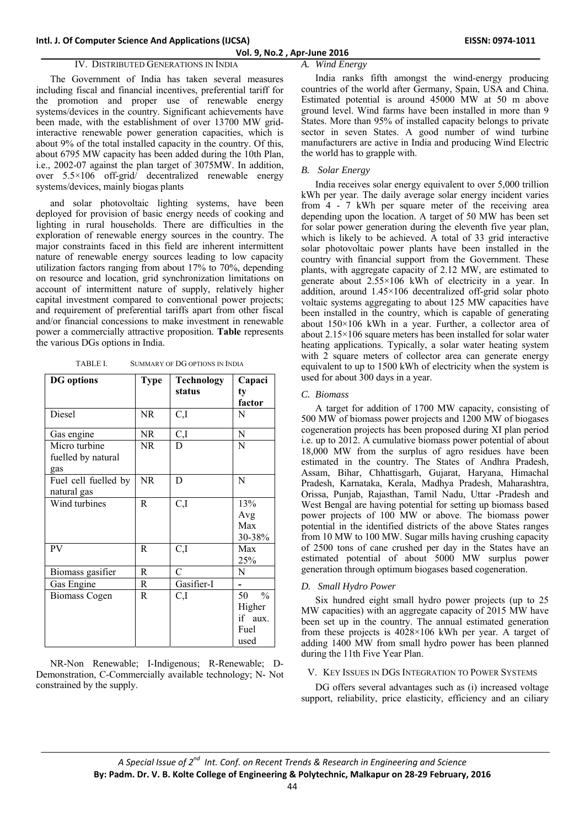# **Vol. 9, No.2 , Apr‐June 2016**

# IV. DISTRIBUTED GENERATIONS IN INDIA

The Government of India has taken several measures including fiscal and financial incentives, preferential tariff for the promotion and proper use of renewable energy systems/devices in the country. Significant achievements have been made, with the establishment of over 13700 MW gridinteractive renewable power generation capacities, which is about 9% of the total installed capacity in the country. Of this, about 6795 MW capacity has been added during the 10th Plan, i.e., 2002-07 against the plan target of 3075MW. In addition, over 5.5×106 off-grid/ decentralized renewable energy systems/devices, mainly biogas plants

and solar photovoltaic lighting systems, have been deployed for provision of basic energy needs of cooking and lighting in rural households. There are difficulties in the exploration of renewable energy sources in the country. The major constraints faced in this field are inherent intermittent nature of renewable energy sources leading to low capacity utilization factors ranging from about 17% to 70%, depending on resource and location, grid synchronization limitations on account of intermittent nature of supply, relatively higher capital investment compared to conventional power projects; and requirement of preferential tariffs apart from other fiscal and/or financial concessions to make investment in renewable power a commercially attractive proposition. **Table** represents the various DGs options in India.

| TABLE I. | SUMMARY OF DG OPTIONS IN INDIA |  |
|----------|--------------------------------|--|
|          |                                |  |

| <b>DG</b> options                          | Type      | <b>Technology</b> | Capaci                                                   |
|--------------------------------------------|-----------|-------------------|----------------------------------------------------------|
|                                            |           | status            | ty                                                       |
|                                            |           |                   | factor                                                   |
| Diesel                                     | NR.       | C,I               | N                                                        |
| Gas engine                                 | NR.       | C,I               | N                                                        |
| Micro turbine<br>fuelled by natural<br>gas | NR.       | D                 | N                                                        |
| Fuel cell fuelled by<br>natural gas        | <b>NR</b> | D                 | N                                                        |
| Wind turbines                              | R         | C,I               | 13%<br>Avg<br>Max<br>30-38%                              |
| <b>PV</b>                                  | R         | C,I               | Max<br>25%                                               |
| Biomass gasifier                           | R         | $\overline{C}$    | N                                                        |
| Gas Engine                                 | R         | Gasifier-I        |                                                          |
| <b>Biomass Cogen</b>                       | R         | C,I               | $\frac{0}{0}$<br>50<br>Higher<br>if aux.<br>Fuel<br>used |

NR-Non Renewable; I-Indigenous; R-Renewable; D-Demonstration, C-Commercially available technology; N- Not constrained by the supply.

# *A. Wind Energy*

India ranks fifth amongst the wind-energy producing countries of the world after Germany, Spain, USA and China. Estimated potential is around 45000 MW at 50 m above ground level. Wind farms have been installed in more than 9 States. More than 95% of installed capacity belongs to private sector in seven States. A good number of wind turbine manufacturers are active in India and producing Wind Electric the world has to grapple with.

# *B. Solar Energy*

India receives solar energy equivalent to over 5,000 trillion kWh per year. The daily average solar energy incident varies from 4 - 7 kWh per square meter of the receiving area depending upon the location. A target of 50 MW has been set for solar power generation during the eleventh five year plan, which is likely to be achieved. A total of 33 grid interactive solar photovoltaic power plants have been installed in the country with financial support from the Government. These plants, with aggregate capacity of 2.12 MW, are estimated to generate about 2.55×106 kWh of electricity in a year. In addition, around 1.45×106 decentralized off-grid solar photo voltaic systems aggregating to about 125 MW capacities have been installed in the country, which is capable of generating about 150×106 kWh in a year. Further, a collector area of about 2.15×106 square meters has been installed for solar water heating applications. Typically, a solar water heating system with 2 square meters of collector area can generate energy equivalent to up to 1500 kWh of electricity when the system is used for about 300 days in a year.

# *C. Biomass*

A target for addition of 1700 MW capacity, consisting of 500 MW of biomass power projects and 1200 MW of biogases cogeneration projects has been proposed during XI plan period i.e. up to 2012. A cumulative biomass power potential of about 18,000 MW from the surplus of agro residues have been estimated in the country. The States of Andhra Pradesh, Assam, Bihar, Chhattisgarh, Gujarat, Haryana, Himachal Pradesh, Karnataka, Kerala, Madhya Pradesh, Maharashtra, Orissa, Punjab, Rajasthan, Tamil Nadu, Uttar -Pradesh and West Bengal are having potential for setting up biomass based power projects of 100 MW or above. The biomass power potential in the identified districts of the above States ranges from 10 MW to 100 MW. Sugar mills having crushing capacity of 2500 tons of cane crushed per day in the States have an estimated potential of about 5000 MW surplus power generation through optimum biogases based cogeneration.

#### *D. Small Hydro Power*

Six hundred eight small hydro power projects (up to 25 MW capacities) with an aggregate capacity of 2015 MW have been set up in the country. The annual estimated generation from these projects is 4028×106 kWh per year. A target of adding 1400 MW from small hydro power has been planned during the 11th Five Year Plan.

#### V. KEY ISSUES IN DGS INTEGRATION TO POWER SYSTEMS

DG offers several advantages such as (i) increased voltage support, reliability, price elasticity, efficiency and an ciliary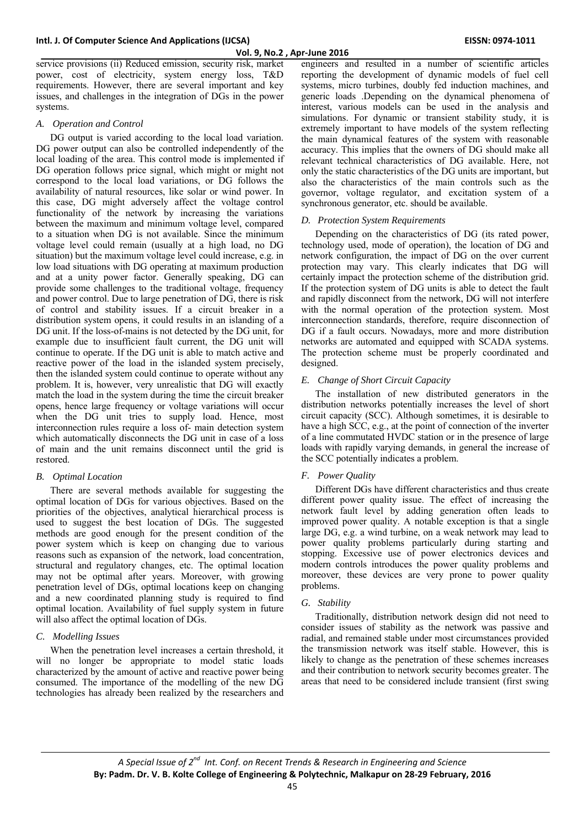service provisions (ii) Reduced emission, security risk, market power, cost of electricity, system energy loss, T&D requirements. However, there are several important and key issues, and challenges in the integration of DGs in the power systems.

# *A. Operation and Control*

DG output is varied according to the local load variation. DG power output can also be controlled independently of the local loading of the area. This control mode is implemented if DG operation follows price signal, which might or might not correspond to the local load variations, or DG follows the availability of natural resources, like solar or wind power. In this case, DG might adversely affect the voltage control functionality of the network by increasing the variations between the maximum and minimum voltage level, compared to a situation when DG is not available. Since the minimum voltage level could remain (usually at a high load, no DG situation) but the maximum voltage level could increase, e.g. in low load situations with DG operating at maximum production and at a unity power factor. Generally speaking, DG can provide some challenges to the traditional voltage, frequency and power control. Due to large penetration of DG, there is risk of control and stability issues. If a circuit breaker in a distribution system opens, it could results in an islanding of a DG unit. If the loss-of-mains is not detected by the DG unit, for example due to insufficient fault current, the DG unit will continue to operate. If the DG unit is able to match active and reactive power of the load in the islanded system precisely, then the islanded system could continue to operate without any problem. It is, however, very unrealistic that DG will exactly match the load in the system during the time the circuit breaker opens, hence large frequency or voltage variations will occur when the DG unit tries to supply load. Hence, most interconnection rules require a loss of- main detection system which automatically disconnects the DG unit in case of a loss of main and the unit remains disconnect until the grid is restored.

# *B. Optimal Location*

There are several methods available for suggesting the optimal location of DGs for various objectives. Based on the priorities of the objectives, analytical hierarchical process is used to suggest the best location of DGs. The suggested methods are good enough for the present condition of the power system which is keep on changing due to various reasons such as expansion of the network, load concentration, structural and regulatory changes, etc. The optimal location may not be optimal after years. Moreover, with growing penetration level of DGs, optimal locations keep on changing and a new coordinated planning study is required to find optimal location. Availability of fuel supply system in future will also affect the optimal location of DGs.

# *C. Modelling Issues*

When the penetration level increases a certain threshold, it will no longer be appropriate to model static loads characterized by the amount of active and reactive power being consumed. The importance of the modelling of the new DG technologies has already been realized by the researchers and

engineers and resulted in a number of scientific articles reporting the development of dynamic models of fuel cell systems, micro turbines, doubly fed induction machines, and generic loads .Depending on the dynamical phenomena of interest, various models can be used in the analysis and simulations. For dynamic or transient stability study, it is extremely important to have models of the system reflecting the main dynamical features of the system with reasonable accuracy. This implies that the owners of DG should make all relevant technical characteristics of DG available. Here, not only the static characteristics of the DG units are important, but also the characteristics of the main controls such as the governor, voltage regulator, and excitation system of a synchronous generator, etc. should be available.

# *D. Protection System Requirements*

Depending on the characteristics of DG (its rated power, technology used, mode of operation), the location of DG and network configuration, the impact of DG on the over current protection may vary. This clearly indicates that DG will certainly impact the protection scheme of the distribution grid. If the protection system of DG units is able to detect the fault and rapidly disconnect from the network, DG will not interfere with the normal operation of the protection system. Most interconnection standards, therefore, require disconnection of DG if a fault occurs. Nowadays, more and more distribution networks are automated and equipped with SCADA systems. The protection scheme must be properly coordinated and designed.

# *E. Change of Short Circuit Capacity*

The installation of new distributed generators in the distribution networks potentially increases the level of short circuit capacity (SCC). Although sometimes, it is desirable to have a high SCC, e.g., at the point of connection of the inverter of a line commutated HVDC station or in the presence of large loads with rapidly varying demands, in general the increase of the SCC potentially indicates a problem.

# *F. Power Quality*

Different DGs have different characteristics and thus create different power quality issue. The effect of increasing the network fault level by adding generation often leads to improved power quality. A notable exception is that a single large DG, e.g. a wind turbine, on a weak network may lead to power quality problems particularly during starting and stopping. Excessive use of power electronics devices and modern controls introduces the power quality problems and moreover, these devices are very prone to power quality problems.

# *G. Stability*

Traditionally, distribution network design did not need to consider issues of stability as the network was passive and radial, and remained stable under most circumstances provided the transmission network was itself stable. However, this is likely to change as the penetration of these schemes increases and their contribution to network security becomes greater. The areas that need to be considered include transient (first swing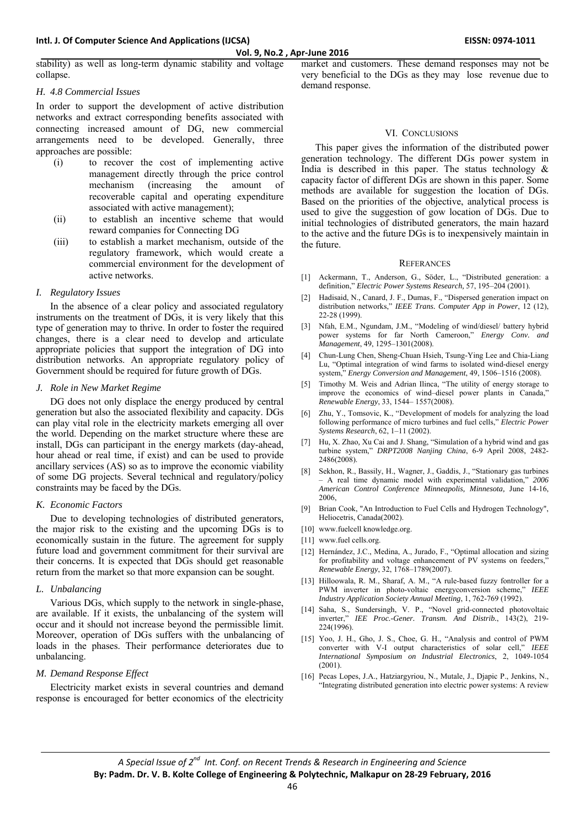stability) as well as long-term dynamic stability and voltage collapse.

# *H. 4.8 Commercial Issues*

In order to support the development of active distribution networks and extract corresponding benefits associated with connecting increased amount of DG, new commercial arrangements need to be developed. Generally, three approaches are possible:

- (i) to recover the cost of implementing active management directly through the price control mechanism (increasing the amount of recoverable capital and operating expenditure associated with active management);
- (ii) to establish an incentive scheme that would reward companies for Connecting DG
- (iii) to establish a market mechanism, outside of the regulatory framework, which would create a commercial environment for the development of active networks.

# *I. Regulatory Issues*

In the absence of a clear policy and associated regulatory instruments on the treatment of DGs, it is very likely that this type of generation may to thrive. In order to foster the required changes, there is a clear need to develop and articulate appropriate policies that support the integration of DG into distribution networks. An appropriate regulatory policy of Government should be required for future growth of DGs.

# *J. Role in New Market Regime*

DG does not only displace the energy produced by central generation but also the associated flexibility and capacity. DGs can play vital role in the electricity markets emerging all over the world. Depending on the market structure where these are install, DGs can participant in the energy markets (day-ahead, hour ahead or real time, if exist) and can be used to provide ancillary services (AS) so as to improve the economic viability of some DG projects. Several technical and regulatory/policy constraints may be faced by the DGs.

# *K. Economic Factors*

Due to developing technologies of distributed generators, the major risk to the existing and the upcoming DGs is to economically sustain in the future. The agreement for supply future load and government commitment for their survival are their concerns. It is expected that DGs should get reasonable return from the market so that more expansion can be sought.

# *L. Unbalancing*

Various DGs, which supply to the network in single-phase, are available. If it exists, the unbalancing of the system will occur and it should not increase beyond the permissible limit. Moreover, operation of DGs suffers with the unbalancing of loads in the phases. Their performance deteriorates due to unbalancing.

# *M. Demand Response Effect*

Electricity market exists in several countries and demand response is encouraged for better economics of the electricity

market and customers. These demand responses may not be very beneficial to the DGs as they may lose revenue due to demand response.

# VI. CONCLUSIONS

This paper gives the information of the distributed power generation technology. The different DGs power system in India is described in this paper. The status technology  $\&$ capacity factor of different DGs are shown in this paper. Some methods are available for suggestion the location of DGs. Based on the priorities of the objective, analytical process is used to give the suggestion of gow location of DGs. Due to initial technologies of distributed generators, the main hazard to the active and the future DGs is to inexpensively maintain in the future.

#### **REFERANCES**

- [1] Ackermann, T., Anderson, G., Söder, L., "Distributed generation: a definition," *Electric Power Systems Research,* 57, 195–204 (2001).
- Hadisaid, N., Canard, J. F., Dumas, F., "Dispersed generation impact on distribution networks," *IEEE Trans. Computer App in Power*, 12 (12), 22-28 (1999).
- [3] Nfah, E.M., Ngundam, J.M., "Modeling of wind/diesel/ battery hybrid power systems for far North Cameroon," *Energy Conv. and Management*, 49, 1295–1301(2008).
- [4] Chun-Lung Chen, Sheng-Chuan Hsieh, Tsung-Ying Lee and Chia-Liang Lu, "Optimal integration of wind farms to isolated wind-diesel energy system," *Energy Conversion and Management*, 49, 1506–1516 (2008).
- [5] Timothy M. Weis and Adrian Ilinca, "The utility of energy storage to improve the economics of wind–diesel power plants in Canada," *Renewable Energy*, 33, 1544– 1557(2008).
- [6] Zhu, Y., Tomsovic, K., "Development of models for analyzing the load following performance of micro turbines and fuel cells," *Electric Power Systems Research*, 62, 1–11 (2002).
- [7] Hu*,* X. Zhao*,* Xu Cai and J. Shang, "Simulation of a hybrid wind and gas turbine system," *DRPT2008 Nanjing China*, 6-9 April 2008, 2482- 2486(2008).
- [8] Sekhon, R., Bassily, H., Wagner, J., Gaddis, J., "Stationary gas turbines – A real time dynamic model with experimental validation," *2006 American Control Conference Minneapolis, Minnesota,* June 14-16, 2006,
- [9] Brian Cook, "An Introduction to Fuel Cells and Hydrogen Technology", Heliocetris, Canada(2002).
- [10] www.fuelcell knowledge.org.
- [11] www.fuel cells.org.
- [12] Hernández, J.C., Medina, A., Jurado, F., "Optimal allocation and sizing for profitability and voltage enhancement of PV systems on feeders, *Renewable Energy*, 32, 1768–1789(2007).
- [13] Hilloowala, R. M., Sharaf, A. M., "A rule-based fuzzy fontroller for a PWM inverter in photo-voltaic energyconversion scheme," *IEEE Industry Application Society Annual Meeting*, 1, 762-769 (1992).
- [14] Saha, S., Sundersingh, V. P., "Novel grid-connected photovoltaic inverter," *IEE Proc.-Gener. Transm. And Distrib.*, 143(2), 219- 224(1996).
- [15] Yoo, J. H., Gho, J. S., Choe, G. H., "Analysis and control of PWM converter with V-I output characteristics of solar cell," *IEEE International Symposium on Industrial Electronics*, 2, 1049-1054 (2001).
- [16] Pecas Lopes, J.A., Hatziargyriou, N., Mutale, J., Djapic P., Jenkins, N., "Integrating distributed generation into electric power systems: A review